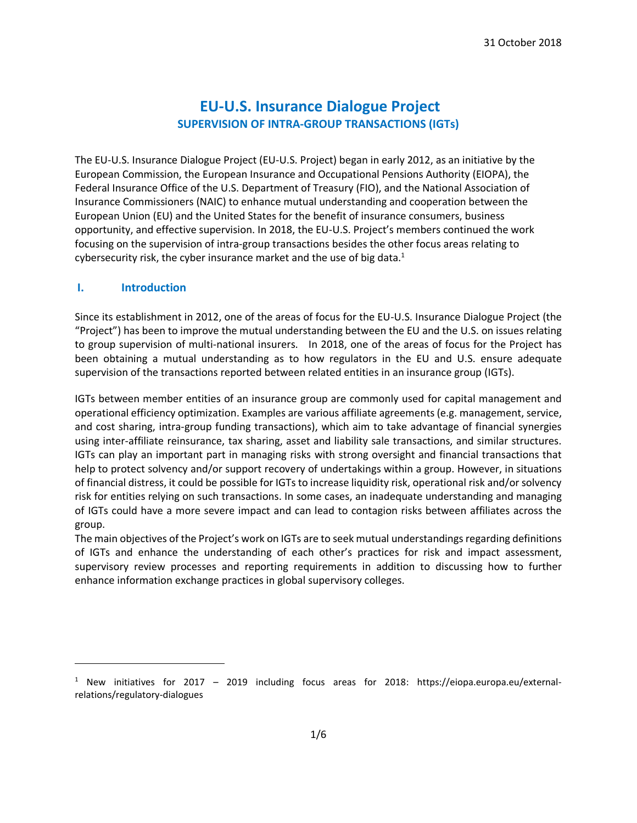# **EU-U.S. Insurance Dialogue Project SUPERVISION OF INTRA-GROUP TRANSACTIONS (IGTs)**

The EU-U.S. Insurance Dialogue Project (EU-U.S. Project) began in early 2012, as an initiative by the European Commission, the European Insurance and Occupational Pensions Authority (EIOPA), the Federal Insurance Office of the U.S. Department of Treasury (FIO), and the National Association of Insurance Commissioners (NAIC) to enhance mutual understanding and cooperation between the European Union (EU) and the United States for the benefit of insurance consumers, business opportunity, and effective supervision. In 2018, the EU-U.S. Project's members continued the work focusing on the supervision of intra-group transactions besides the other focus areas relating to cybersecurity risk, the cyber insurance market and the use of big data.<sup>1</sup>

#### **I. Introduction**

 $\overline{\phantom{a}}$ 

Since its establishment in 2012, one of the areas of focus for the EU-U.S. Insurance Dialogue Project (the "Project") has been to improve the mutual understanding between the EU and the U.S. on issues relating to group supervision of multi-national insurers. In 2018, one of the areas of focus for the Project has been obtaining a mutual understanding as to how regulators in the EU and U.S. ensure adequate supervision of the transactions reported between related entities in an insurance group (IGTs).

IGTs between member entities of an insurance group are commonly used for capital management and operational efficiency optimization. Examples are various affiliate agreements (e.g. management, service, and cost sharing, intra-group funding transactions), which aim to take advantage of financial synergies using inter-affiliate reinsurance, tax sharing, asset and liability sale transactions, and similar structures. IGTs can play an important part in managing risks with strong oversight and financial transactions that help to protect solvency and/or support recovery of undertakings within a group. However, in situations of financial distress, it could be possible for IGTs to increase liquidity risk, operational risk and/or solvency risk for entities relying on such transactions. In some cases, an inadequate understanding and managing of IGTs could have a more severe impact and can lead to contagion risks between affiliates across the group.

The main objectives of the Project's work on IGTs are to seek mutual understandings regarding definitions of IGTs and enhance the understanding of each other's practices for risk and impact assessment, supervisory review processes and reporting requirements in addition to discussing how to further enhance information exchange practices in global supervisory colleges.

 $1$  New initiatives for 2017 – 2019 including focus areas for 2018: https://eiopa.europa.eu/externalrelations/regulatory-dialogues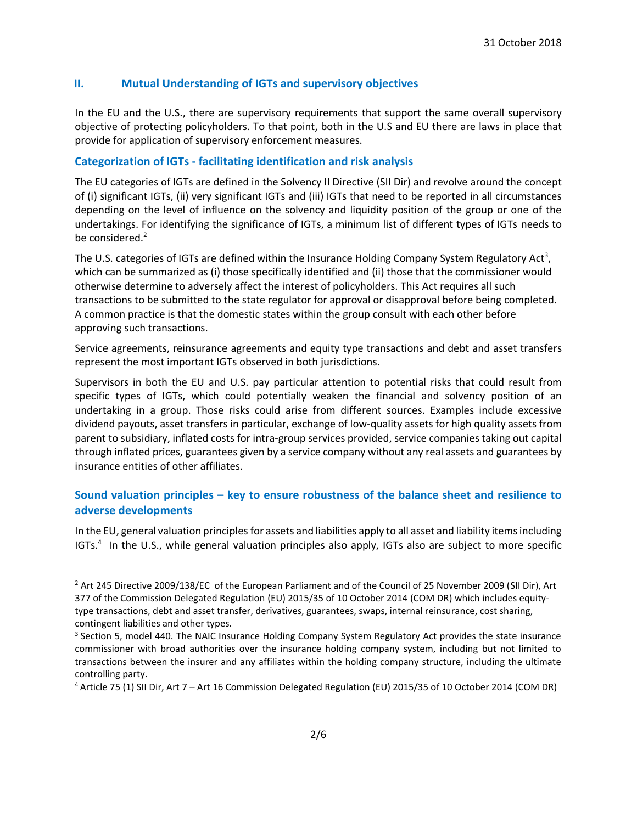## **II. Mutual Understanding of IGTs and supervisory objectives**

In the EU and the U.S., there are supervisory requirements that support the same overall supervisory objective of protecting policyholders. To that point, both in the U.S and EU there are laws in place that provide for application of supervisory enforcement measures.

#### **Categorization of IGTs - facilitating identification and risk analysis**

The EU categories of IGTs are defined in the Solvency II Directive (SII Dir) and revolve around the concept of (i) significant IGTs, (ii) very significant IGTs and (iii) IGTs that need to be reported in all circumstances depending on the level of influence on the solvency and liquidity position of the group or one of the undertakings. For identifying the significance of IGTs, a minimum list of different types of IGTs needs to be considered.<sup>2</sup>

The U.S. categories of IGTs are defined within the Insurance Holding Company System Regulatory Act<sup>3</sup>, which can be summarized as (i) those specifically identified and (ii) those that the commissioner would otherwise determine to adversely affect the interest of policyholders. This Act requires all such transactions to be submitted to the state regulator for approval or disapproval before being completed. A common practice is that the domestic states within the group consult with each other before approving such transactions.

Service agreements, reinsurance agreements and equity type transactions and debt and asset transfers represent the most important IGTs observed in both jurisdictions.

Supervisors in both the EU and U.S. pay particular attention to potential risks that could result from specific types of IGTs, which could potentially weaken the financial and solvency position of an undertaking in a group. Those risks could arise from different sources. Examples include excessive dividend payouts, asset transfers in particular, exchange of low-quality assets for high quality assets from parent to subsidiary, inflated costs for intra-group services provided, service companies taking out capital through inflated prices, guarantees given by a service company without any real assets and guarantees by insurance entities of other affiliates.

## **Sound valuation principles – key to ensure robustness of the balance sheet and resilience to adverse developments**

In the EU, general valuation principles for assets and liabilities apply to all asset and liability items including IGTs.<sup>4</sup> In the U.S., while general valuation principles also apply, IGTs also are subject to more specific

 $\overline{\phantom{a}}$ 

<sup>&</sup>lt;sup>2</sup> Art 245 Directive 2009/138/EC of the European Parliament and of the Council of 25 November 2009 (SII Dir), Art 377 of the Commission Delegated Regulation (EU) 2015/35 of 10 October 2014 (COM DR) which includes equitytype transactions, debt and asset transfer, derivatives, guarantees, swaps, internal reinsurance, cost sharing, contingent liabilities and other types.

<sup>&</sup>lt;sup>3</sup> Section 5, model 440. The NAIC Insurance Holding Company System Regulatory Act provides the state insurance commissioner with broad authorities over the insurance holding company system, including but not limited to transactions between the insurer and any affiliates within the holding company structure, including the ultimate controlling party.

<sup>4</sup> Article 75 (1) SII Dir, Art 7 – Art 16 Commission Delegated Regulation (EU) 2015/35 of 10 October 2014 (COM DR)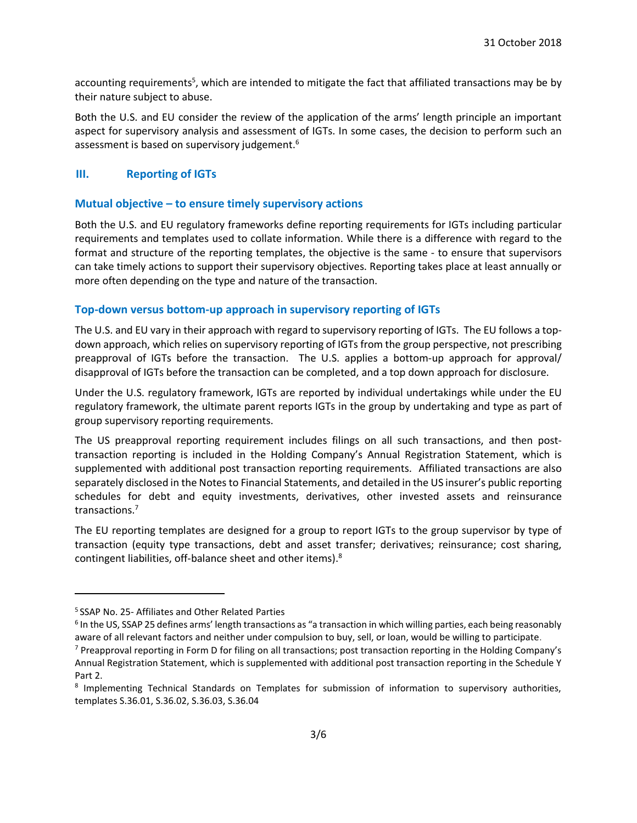accounting requirements<sup>5</sup>, which are intended to mitigate the fact that affiliated transactions may be by their nature subject to abuse.

Both the U.S. and EU consider the review of the application of the arms' length principle an important aspect for supervisory analysis and assessment of IGTs. In some cases, the decision to perform such an assessment is based on supervisory judgement.<sup>6</sup>

#### **III. Reporting of IGTs**

#### **Mutual objective – to ensure timely supervisory actions**

Both the U.S. and EU regulatory frameworks define reporting requirements for IGTs including particular requirements and templates used to collate information. While there is a difference with regard to the format and structure of the reporting templates, the objective is the same - to ensure that supervisors can take timely actions to support their supervisory objectives. Reporting takes place at least annually or more often depending on the type and nature of the transaction.

#### **Top-down versus bottom-up approach in supervisory reporting of IGTs**

The U.S. and EU vary in their approach with regard to supervisory reporting of IGTs. The EU follows a topdown approach, which relies on supervisory reporting of IGTs from the group perspective, not prescribing preapproval of IGTs before the transaction. The U.S. applies a bottom-up approach for approval/ disapproval of IGTs before the transaction can be completed, and a top down approach for disclosure.

Under the U.S. regulatory framework, IGTs are reported by individual undertakings while under the EU regulatory framework, the ultimate parent reports IGTs in the group by undertaking and type as part of group supervisory reporting requirements.

The US preapproval reporting requirement includes filings on all such transactions, and then posttransaction reporting is included in the Holding Company's Annual Registration Statement, which is supplemented with additional post transaction reporting requirements. Affiliated transactions are also separately disclosed in the Notes to Financial Statements, and detailed in the US insurer's public reporting schedules for debt and equity investments, derivatives, other invested assets and reinsurance transactions. 7

The EU reporting templates are designed for a group to report IGTs to the group supervisor by type of transaction (equity type transactions, debt and asset transfer; derivatives; reinsurance; cost sharing, contingent liabilities, off-balance sheet and other items). $^{8}$ 

 $\overline{a}$ 

<sup>5</sup> SSAP No. 25- Affiliates and Other Related Parties

<sup>&</sup>lt;sup>6</sup> In the US, SSAP 25 defines arms' length transactions as "a transaction in which willing parties, each being reasonably aware of all relevant factors and neither under compulsion to buy, sell, or loan, would be willing to participate.

<sup>7</sup> Preapproval reporting in Form D for filing on all transactions; post transaction reporting in the Holding Company's Annual Registration Statement, which is supplemented with additional post transaction reporting in the Schedule Y Part 2.

<sup>&</sup>lt;sup>8</sup> Implementing Technical Standards on Templates for submission of information to supervisory authorities, templates S.36.01, S.36.02, S.36.03, S.36.04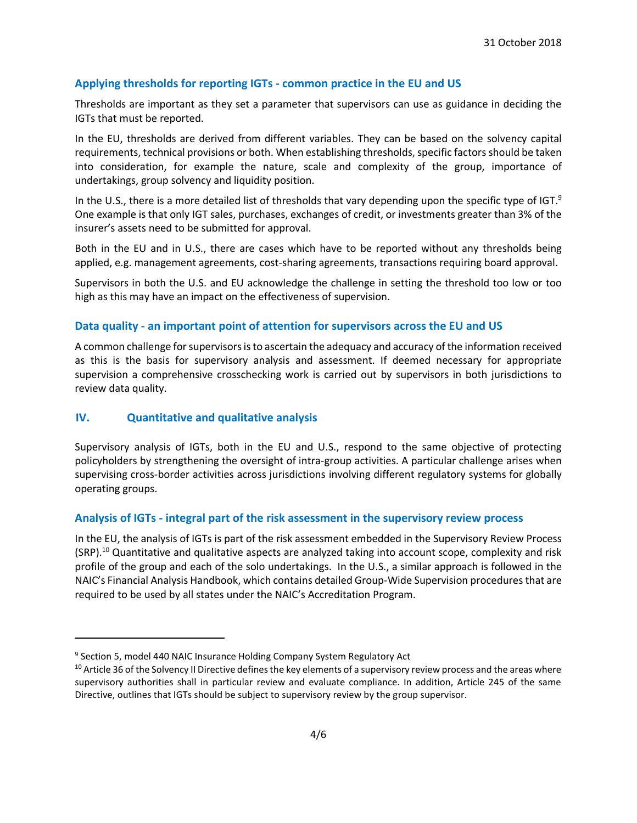## **Applying thresholds for reporting IGTs - common practice in the EU and US**

Thresholds are important as they set a parameter that supervisors can use as guidance in deciding the IGTs that must be reported.

In the EU, thresholds are derived from different variables. They can be based on the solvency capital requirements, technical provisions or both. When establishing thresholds, specific factors should be taken into consideration, for example the nature, scale and complexity of the group, importance of undertakings, group solvency and liquidity position.

In the U.S., there is a more detailed list of thresholds that vary depending upon the specific type of IGT.<sup>9</sup> One example is that only IGT sales, purchases, exchanges of credit, or investments greater than 3% of the insurer's assets need to be submitted for approval.

Both in the EU and in U.S., there are cases which have to be reported without any thresholds being applied, e.g. management agreements, cost-sharing agreements, transactions requiring board approval.

Supervisors in both the U.S. and EU acknowledge the challenge in setting the threshold too low or too high as this may have an impact on the effectiveness of supervision.

#### **Data quality - an important point of attention for supervisors across the EU and US**

A common challenge for supervisors is to ascertain the adequacy and accuracy of the information received as this is the basis for supervisory analysis and assessment. If deemed necessary for appropriate supervision a comprehensive crosschecking work is carried out by supervisors in both jurisdictions to review data quality.

#### **IV. Quantitative and qualitative analysis**

 $\overline{\phantom{a}}$ 

Supervisory analysis of IGTs, both in the EU and U.S., respond to the same objective of protecting policyholders by strengthening the oversight of intra-group activities. A particular challenge arises when supervising cross-border activities across jurisdictions involving different regulatory systems for globally operating groups.

#### **Analysis of IGTs - integral part of the risk assessment in the supervisory review process**

In the EU, the analysis of IGTs is part of the risk assessment embedded in the Supervisory Review Process (SRP).<sup>10</sup> Quantitative and qualitative aspects are analyzed taking into account scope, complexity and risk profile of the group and each of the solo undertakings. In the U.S., a similar approach is followed in the NAIC's Financial Analysis Handbook, which contains detailed Group-Wide Supervision procedures that are required to be used by all states under the NAIC's Accreditation Program.

<sup>&</sup>lt;sup>9</sup> Section 5, model 440 NAIC Insurance Holding Company System Regulatory Act

 $10$  Article 36 of the Solvency II Directive defines the key elements of a supervisory review process and the areas where supervisory authorities shall in particular review and evaluate compliance. In addition, Article 245 of the same Directive, outlines that IGTs should be subject to supervisory review by the group supervisor.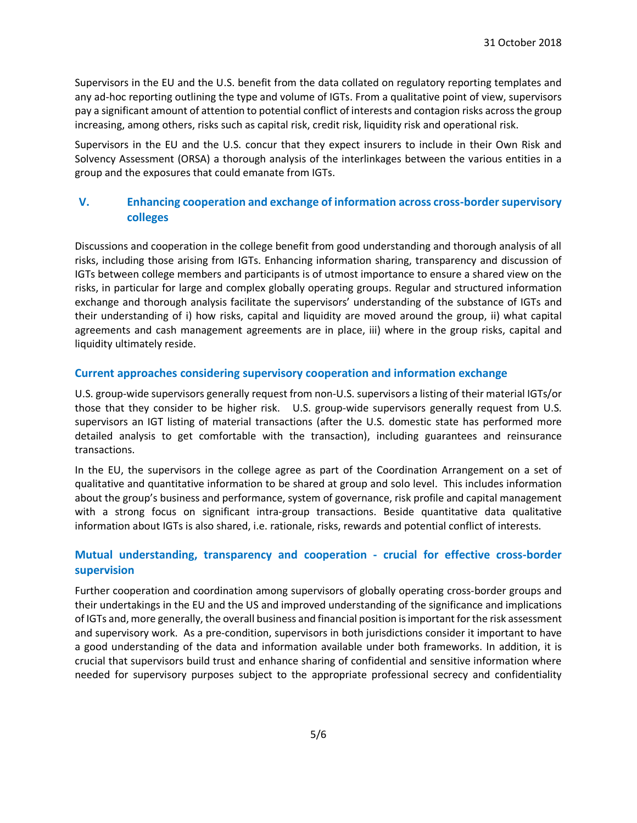Supervisors in the EU and the U.S. benefit from the data collated on regulatory reporting templates and any ad-hoc reporting outlining the type and volume of IGTs. From a qualitative point of view, supervisors pay a significant amount of attention to potential conflict of interests and contagion risks across the group increasing, among others, risks such as capital risk, credit risk, liquidity risk and operational risk.

Supervisors in the EU and the U.S. concur that they expect insurers to include in their Own Risk and Solvency Assessment (ORSA) a thorough analysis of the interlinkages between the various entities in a group and the exposures that could emanate from IGTs.

# **V. Enhancing cooperation and exchange of information across cross-border supervisory colleges**

Discussions and cooperation in the college benefit from good understanding and thorough analysis of all risks, including those arising from IGTs. Enhancing information sharing, transparency and discussion of IGTs between college members and participants is of utmost importance to ensure a shared view on the risks, in particular for large and complex globally operating groups. Regular and structured information exchange and thorough analysis facilitate the supervisors' understanding of the substance of IGTs and their understanding of i) how risks, capital and liquidity are moved around the group, ii) what capital agreements and cash management agreements are in place, iii) where in the group risks, capital and liquidity ultimately reside.

#### **Current approaches considering supervisory cooperation and information exchange**

U.S. group-wide supervisors generally request from non-U.S. supervisors a listing of their material IGTs/or those that they consider to be higher risk. U.S. group-wide supervisors generally request from U.S. supervisors an IGT listing of material transactions (after the U.S. domestic state has performed more detailed analysis to get comfortable with the transaction), including guarantees and reinsurance transactions.

In the EU, the supervisors in the college agree as part of the Coordination Arrangement on a set of qualitative and quantitative information to be shared at group and solo level. This includes information about the group's business and performance, system of governance, risk profile and capital management with a strong focus on significant intra-group transactions. Beside quantitative data qualitative information about IGTs is also shared, i.e. rationale, risks, rewards and potential conflict of interests.

# **Mutual understanding, transparency and cooperation - crucial for effective cross-border supervision**

Further cooperation and coordination among supervisors of globally operating cross-border groups and their undertakings in the EU and the US and improved understanding of the significance and implications of IGTs and, more generally, the overall business and financial position is important forthe risk assessment and supervisory work. As a pre-condition, supervisors in both jurisdictions consider it important to have a good understanding of the data and information available under both frameworks. In addition, it is crucial that supervisors build trust and enhance sharing of confidential and sensitive information where needed for supervisory purposes subject to the appropriate professional secrecy and confidentiality